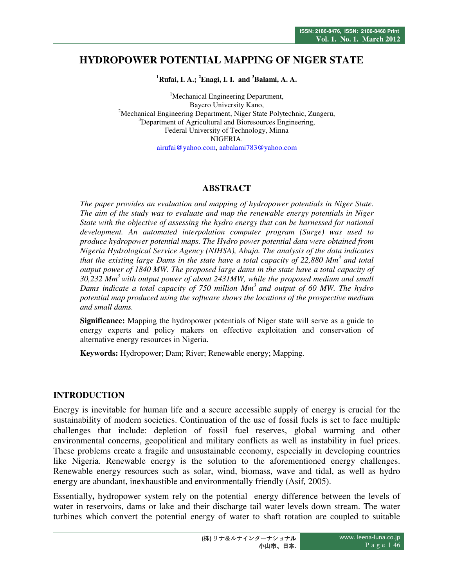# **HYDROPOWER POTENTIAL MAPPING OF NIGER STATE**

**<sup>1</sup>Rufai, I. A.; <sup>2</sup>Enagi, I. I. and <sup>3</sup>Balami, A. A.** 

<sup>1</sup>Mechanical Engineering Department, Bayero University Kano, <sup>2</sup>Mechanical Engineering Department, Niger State Polytechnic, Zungeru, <sup>3</sup>Department of Agricultural and Bioresources Engineering, Federal University of Technology, Minna NIGERIA. airufai@yahoo.com, aabalami783@yahoo.com

# **ABSTRACT**

*The paper provides an evaluation and mapping of hydropower potentials in Niger State. The aim of the study was to evaluate and map the renewable energy potentials in Niger State with the objective of assessing the hydro energy that can be harnessed for national development. An automated interpolation computer program (Surge) was used to produce hydropower potential maps. The Hydro power potential data were obtained from Nigeria Hydrological Service Agency (NIHSA), Abuja. The analysis of the data indicates that the existing large Dams in the state have a total capacity of 22,880 Mm<sup>3</sup> and total output power of 1840 MW. The proposed large dams in the state have a total capacity of 30,232 Mm<sup>3</sup>with output power of about 2431MW, while the proposed medium and small Dams indicate a total capacity of 750 million Mm<sup>3</sup>and output of 60 MW. The hydro potential map produced using the software shows the locations of the prospective medium and small dams.* 

**Significance:** Mapping the hydropower potentials of Niger state will serve as a guide to energy experts and policy makers on effective exploitation and conservation of alternative energy resources in Nigeria.

**Keywords:** Hydropower; Dam; River; Renewable energy; Mapping.

#### **INTRODUCTION**

Energy is inevitable for human life and a secure accessible supply of energy is crucial for the sustainability of modern societies. Continuation of the use of fossil fuels is set to face multiple challenges that include: depletion of fossil fuel reserves, global warming and other environmental concerns, geopolitical and military conflicts as well as instability in fuel prices. These problems create a fragile and unsustainable economy, especially in developing countries like Nigeria. Renewable energy is the solution to the aforementioned energy challenges. Renewable energy resources such as solar, wind, biomass, wave and tidal, as well as hydro energy are abundant, inexhaustible and environmentally friendly (Asif*,* 2005).

Essentially**,** hydropower system rely on the potential energy difference between the levels of water in reservoirs, dams or lake and their discharge tail water levels down stream. The water turbines which convert the potential energy of water to shaft rotation are coupled to suitable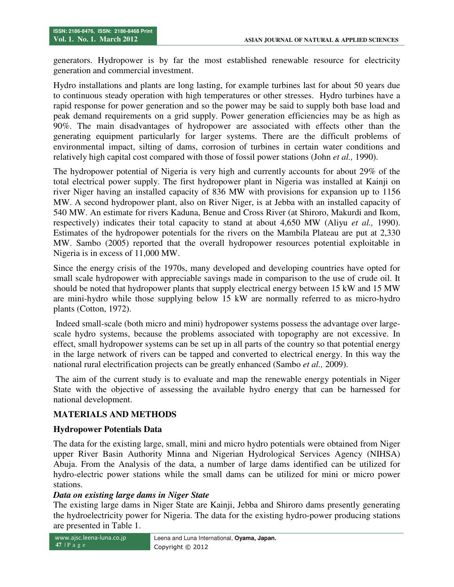generators. Hydropower is by far the most established renewable resource for electricity generation and commercial investment.

Hydro installations and plants are long lasting, for example turbines last for about 50 years due to continuous steady operation with high temperatures or other stresses. Hydro turbines have a rapid response for power generation and so the power may be said to supply both base load and peak demand requirements on a grid supply. Power generation efficiencies may be as high as 90%. The main disadvantages of hydropower are associated with effects other than the generating equipment particularly for larger systems. There are the difficult problems of environmental impact, silting of dams, corrosion of turbines in certain water conditions and relatively high capital cost compared with those of fossil power stations (John *et al.,* 1990).

The hydropower potential of Nigeria is very high and currently accounts for about 29% of the total electrical power supply. The first hydropower plant in Nigeria was installed at Kainji on river Niger having an installed capacity of 836 MW with provisions for expansion up to 1156 MW. A second hydropower plant, also on River Niger, is at Jebba with an installed capacity of 540 MW. An estimate for rivers Kaduna, Benue and Cross River (at Shiroro, Makurdi and Ikom, respectively) indicates their total capacity to stand at about 4,650 MW (Aliyu *et al.,* 1990). Estimates of the hydropower potentials for the rivers on the Mambila Plateau are put at 2,330 MW. Sambo (2005) reported that the overall hydropower resources potential exploitable in Nigeria is in excess of 11,000 MW.

Since the energy crisis of the 1970s, many developed and developing countries have opted for small scale hydropower with appreciable savings made in comparison to the use of crude oil. It should be noted that hydropower plants that supply electrical energy between 15 kW and 15 MW are mini-hydro while those supplying below 15 kW are normally referred to as micro-hydro plants (Cotton, 1972).

 Indeed small-scale (both micro and mini) hydropower systems possess the advantage over largescale hydro systems, because the problems associated with topography are not excessive. In effect, small hydropower systems can be set up in all parts of the country so that potential energy in the large network of rivers can be tapped and converted to electrical energy. In this way the national rural electrification projects can be greatly enhanced (Sambo *et al.,* 2009).

 The aim of the current study is to evaluate and map the renewable energy potentials in Niger State with the objective of assessing the available hydro energy that can be harnessed for national development.

#### **MATERIALS AND METHODS**

#### **Hydropower Potentials Data**

The data for the existing large, small, mini and micro hydro potentials were obtained from Niger upper River Basin Authority Minna and Nigerian Hydrological Services Agency (NIHSA) Abuja. From the Analysis of the data, a number of large dams identified can be utilized for hydro-electric power stations while the small dams can be utilized for mini or micro power stations.

#### *Data on existing large dams in Niger State*

The existing large dams in Niger State are Kainji, Jebba and Shiroro dams presently generating the hydroelectricity power for Nigeria. The data for the existing hydro-power producing stations are presented in Table 1.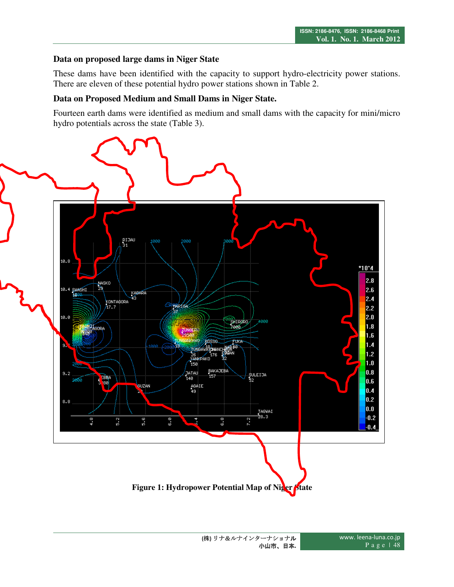# **Data on proposed large dams in Niger State**

These dams have been identified with the capacity to support hydro-electricity power stations. There are eleven of these potential hydro power stations shown in Table 2.

#### **Data on Proposed Medium and Small Dams in Niger State.**

Fourteen earth dams were identified as medium and small dams with the capacity for mini/micro hydro potentials across the state (Table 3).

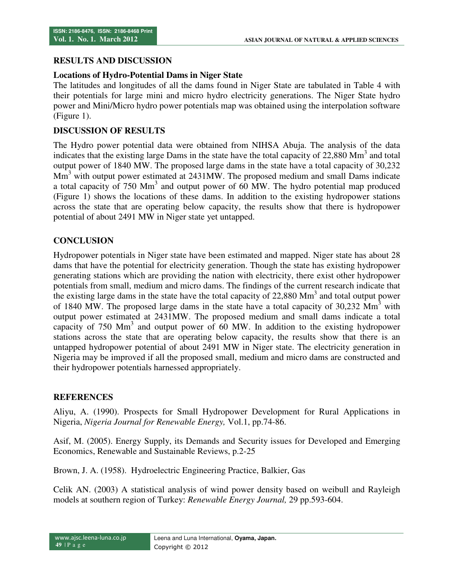# **RESULTS AND DISCUSSION**

### **Locations of Hydro-Potential Dams in Niger State**

The latitudes and longitudes of all the dams found in Niger State are tabulated in Table 4 with their potentials for large mini and micro hydro electricity generations. The Niger State hydro power and Mini/Micro hydro power potentials map was obtained using the interpolation software (Figure 1).

# **DISCUSSION OF RESULTS**

The Hydro power potential data were obtained from NIHSA Abuja. The analysis of the data indicates that the existing large Dams in the state have the total capacity of  $22,880$  Mm<sup>3</sup> and total output power of 1840 MW. The proposed large dams in the state have a total capacity of 30,232  $\text{Mm}^3$  with output power estimated at 2431MW. The proposed medium and small Dams indicate a total capacity of 750 Mm<sup>3</sup> and output power of  $60$  MW. The hydro potential map produced (Figure 1) shows the locations of these dams. In addition to the existing hydropower stations across the state that are operating below capacity, the results show that there is hydropower potential of about 2491 MW in Niger state yet untapped.

# **CONCLUSION**

Hydropower potentials in Niger state have been estimated and mapped. Niger state has about 28 dams that have the potential for electricity generation. Though the state has existing hydropower generating stations which are providing the nation with electricity, there exist other hydropower potentials from small, medium and micro dams. The findings of the current research indicate that the existing large dams in the state have the total capacity of  $22,880$  Mm<sup>3</sup> and total output power of 1840 MW. The proposed large dams in the state have a total capacity of 30,232  $\text{Mm}^3$  with output power estimated at 2431MW. The proposed medium and small dams indicate a total capacity of 750  $\text{Mm}^3$  and output power of 60 MW. In addition to the existing hydropower stations across the state that are operating below capacity, the results show that there is an untapped hydropower potential of about 2491 MW in Niger state. The electricity generation in Nigeria may be improved if all the proposed small, medium and micro dams are constructed and their hydropower potentials harnessed appropriately.

# **REFERENCES**

Aliyu, A. (1990). Prospects for Small Hydropower Development for Rural Applications in Nigeria, *Nigeria Journal for Renewable Energy,* Vol.1, pp.74-86.

Asif, M. (2005). Energy Supply, its Demands and Security issues for Developed and Emerging Economics, Renewable and Sustainable Reviews, p.2-25

Brown, J. A. (1958). Hydroelectric Engineering Practice, Balkier, Gas

Celik AN. (2003) A statistical analysis of wind power density based on weibull and Rayleigh models at southern region of Turkey: *Renewable Energy Journal,* 29 pp.593-604.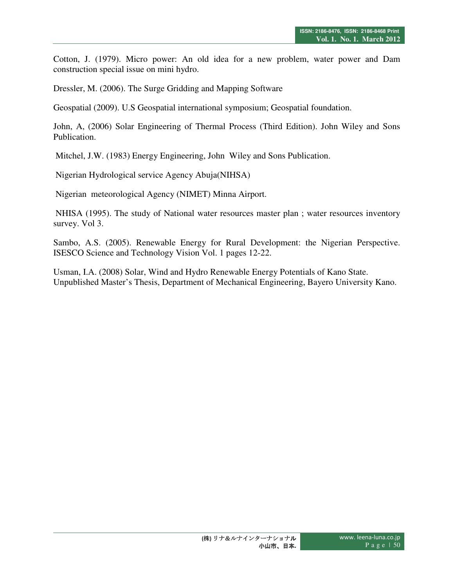Cotton, J. (1979). Micro power: An old idea for a new problem, water power and Dam construction special issue on mini hydro.

Dressler, M. (2006). The Surge Gridding and Mapping Software

Geospatial (2009). U.S Geospatial international symposium; Geospatial foundation.

John, A, (2006) Solar Engineering of Thermal Process (Third Edition). John Wiley and Sons Publication.

Mitchel, J.W. (1983) Energy Engineering, John Wiley and Sons Publication.

Nigerian Hydrological service Agency Abuja(NIHSA)

Nigerian meteorological Agency (NIMET) Minna Airport.

 NHISA (1995). The study of National water resources master plan ; water resources inventory survey. Vol 3.

Sambo, A.S. (2005). Renewable Energy for Rural Development: the Nigerian Perspective. ISESCO Science and Technology Vision Vol. 1 pages 12-22.

Usman, I.A. (2008) Solar, Wind and Hydro Renewable Energy Potentials of Kano State. Unpublished Master's Thesis, Department of Mechanical Engineering, Bayero University Kano.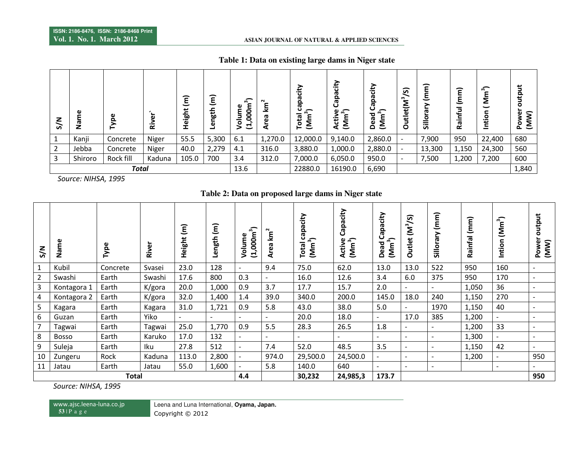#### **ASIAN JOURNAL OF NATURAL & APPLIED SCIENCES**

| z<br>৯         | Name    | ω<br>o    | ω<br>ᄒ | έ<br>ight<br>Ξ | ∽<br>Ξ<br>ngth<br>Φ | $\widehat{a}$<br>000m<br>Φ<br>Ĕ<br>२<br>ュ | $\sim$<br>ξ<br>ී<br>⊄ | ede<br>్<br>otal<br>ξ<br>⊢ | Capacity<br>$\hat{2}$<br>ω<br>듕<br>ξ<br>⋖ | city<br>ede<br>(Mm <sup>3</sup> )<br>Dead | তি)<br>Outlet(M <sup>3</sup> | $\widehat{\epsilon}$<br>Ξ<br>൹<br>Sillo | έ<br>ε<br>÷<br>æ<br>≃ | ్<br>Σ<br>$\overline{\phantom{0}}$<br>⊆<br>$\circ$<br>Ë | output<br>$\widehat{\bm{s}}$<br>Φ<br>$\bar{\bm{\Sigma}}$<br>ō<br>௳ |
|----------------|---------|-----------|--------|----------------|---------------------|-------------------------------------------|-----------------------|----------------------------|-------------------------------------------|-------------------------------------------|------------------------------|-----------------------------------------|-----------------------|---------------------------------------------------------|--------------------------------------------------------------------|
| 1              | Kanji   | Concrete  | Niger  | 55.5           | 5,300               | 6.1                                       | 1,270.0               | 12,000.0                   | 9,140.0                                   | 2,860.0                                   | $\overline{\phantom{a}}$     | 7,900                                   | 950                   | 22,400                                                  | 680                                                                |
| $\overline{2}$ | Jebba   | Concrete  | Niger  | 40.0           | 2,279               | 4.1                                       | 316.0                 | 3,880.0                    | 1,000.0                                   | 2,880.0                                   | $\overline{\phantom{0}}$     | 13,300                                  | 1,150                 | 24,300                                                  | 560                                                                |
| 3              | Shiroro | Rock fill | Kaduna | 105.0          | 700                 | 3.4                                       | 312.0                 | 7,000.0                    | 6,050.0                                   | 950.0                                     | -                            | 7,500                                   | 1,200                 | 7,200                                                   | 600                                                                |
| <b>Total</b>   |         |           |        |                |                     | 13.6                                      |                       | 22880.0                    | 16190.0                                   | 6,690                                     |                              |                                         |                       |                                                         | 1,840                                                              |

#### **Table 1: Data on existing large dams in Niger state**

*Source: NIHSA, 1995* 

#### **Table 2: Data on proposed large dams in Niger state**

| S/N            | Name         | Type     | River  | $\widehat{\epsilon}$<br>Height | $\widehat{\epsilon}$<br>Length ( | ∽<br>$(1,000m^3)$<br>Volume | $km^2$<br>Area           | capacity<br>(Mm <sup>3</sup> )<br>Total | Capacity<br><b>ACTIVE</b><br>(Mm <sup>3</sup> )<br>Activ | Capacity<br>(Mm <sup>3</sup> )<br>Dead | 5)<br>$\sum_{i=1}^{n}$<br><b>Outlet</b> | (mm)<br>Sillorary        | (mm)<br>Rainfal | (Mm <sup>3</sup> )<br>Intion | output<br>Power<br>(MW)  |
|----------------|--------------|----------|--------|--------------------------------|----------------------------------|-----------------------------|--------------------------|-----------------------------------------|----------------------------------------------------------|----------------------------------------|-----------------------------------------|--------------------------|-----------------|------------------------------|--------------------------|
| 1              | Kubil        | Concrete | Svasei | 23.0                           | 128                              | $\overline{\phantom{a}}$    | 9.4                      | 75.0                                    | 62.0                                                     | 13.0                                   | 13.0                                    | 522                      | 950             | 160                          | $\overline{\phantom{a}}$ |
| $\overline{2}$ | Swashi       | Earth    | Swashi | 17.6                           | 800                              | 0.3                         |                          | 16.0                                    | 12.6                                                     | 3.4                                    | 6.0                                     | 375                      | 950             | 170                          | $\overline{\phantom{a}}$ |
| 3              | Kontagora 1  | Earth    | K/gora | 20.0                           | 1,000                            | 0.9                         | 3.7                      | 17.7                                    | 15.7                                                     | 2.0                                    |                                         | $\overline{\phantom{a}}$ | 1,050           | 36                           | $\overline{\phantom{a}}$ |
| 4              | Kontagora 2  | Earth    | K/gora | 32.0                           | 1,400                            | 1.4                         | 39.0                     | 340.0                                   | 200.0                                                    | 145.0                                  | 18.0                                    | 240                      | 1,150           | 270                          | $\overline{\phantom{a}}$ |
| 5              | Kagara       | Earth    | Kagara | 31.0                           | 1,721                            | 0.9                         | 5.8                      | 43.0                                    | 38.0                                                     | 5.0                                    | $\sim$                                  | 1970                     | 1,150           | 40                           | $\overline{\phantom{a}}$ |
| 6              | Guzan        | Earth    | Yiko   | ٠                              | $\overline{\phantom{a}}$         | $\overline{\phantom{a}}$    | $\sim$                   | 20.0                                    | 18.0                                                     | $\overline{\phantom{a}}$               | 17.0                                    | 385                      | 1,200           | $\sim$                       | $\overline{\phantom{a}}$ |
| 7              | Tagwai       | Earth    | Tagwai | 25.0                           | 1,770                            | 0.9                         | 5.5                      | 28.3                                    | 26.5                                                     | 1.8                                    | $\overline{\phantom{a}}$                | $\overline{\phantom{a}}$ | 1,200           | 33                           | $\overline{\phantom{a}}$ |
| 8              | <b>Bosso</b> | Earth    | Karuko | 17.0                           | 132                              | $\sim$                      | $\overline{\phantom{a}}$ |                                         |                                                          |                                        | $\overline{\phantom{a}}$                | $\overline{\phantom{a}}$ | 1,300           | $\sim$                       | $\overline{\phantom{a}}$ |
| 9              | Suleja       | Earth    | Iku    | 27.8                           | 512                              | $\overline{\phantom{a}}$    | 7.4                      | 52.0                                    | 48.5                                                     | 3.5                                    | $\overline{\phantom{a}}$                | $\overline{\phantom{a}}$ | 1,150           | 42                           | $\overline{\phantom{a}}$ |
| 10             | Zungeru      | Rock     | Kaduna | 113.0                          | 2,800                            | $\overline{\phantom{a}}$    | 974.0                    | 29,500.0                                | 24,500.0                                                 |                                        |                                         | $\overline{\phantom{a}}$ | 1,200           | $\overline{\phantom{a}}$     | 950                      |
| 11             | Jatau        | Earth    | Jatau  | 55.0                           | 1,600                            | $\overline{\phantom{a}}$    | 5.8                      | 140.0                                   | 640                                                      |                                        | $\overline{\phantom{a}}$                | $\overline{\phantom{a}}$ |                 | $\overline{\phantom{a}}$     | $\overline{\phantom{a}}$ |
| Total          |              |          |        |                                |                                  | 4.4                         |                          | 30,232                                  | 24,985,3                                                 | 173.7                                  |                                         |                          |                 |                              | 950                      |

*Source: NIHSA, 1995* 

www.ajsc.leena-luna.co.jp  **53** | P <sup>a</sup> g <sup>e</sup>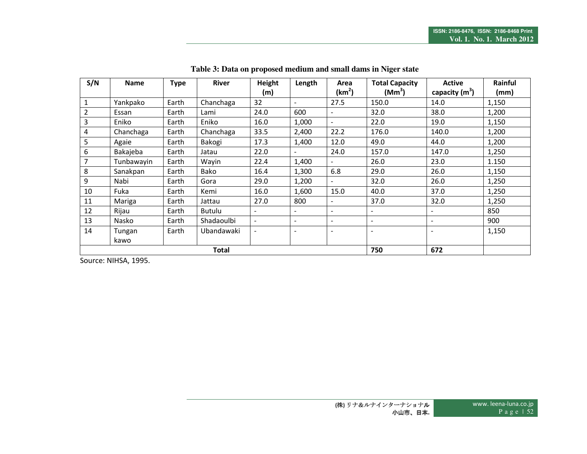| S/N                 | <b>Name</b> | <b>Type</b> |            | <b>River</b><br>Height |                          | Area                     | <b>Total Capacity</b>    | <b>Active</b>            | Rainful |  |
|---------------------|-------------|-------------|------------|------------------------|--------------------------|--------------------------|--------------------------|--------------------------|---------|--|
|                     |             |             |            | (m)                    |                          | (km <sup>2</sup> )       | (Mm <sup>3</sup> )       | capacity $(m^3)$         | (mm)    |  |
| $\mathbf{1}$        | Yankpako    | Earth       | Chanchaga  | 32                     |                          | 27.5                     | 150.0                    | 14.0                     | 1,150   |  |
| $\overline{2}$      | Essan       | Earth       | Lami       | 24.0                   | 600                      | $\overline{\phantom{a}}$ | 32.0                     | 38.0                     | 1,200   |  |
| $\overline{3}$      | Eniko       | Earth       | Eniko      | 16.0                   | 1,000                    | $\sim$                   | 22.0                     | 19.0                     | 1,150   |  |
| $\overline{4}$      | Chanchaga   | Earth       | Chanchaga  | 33.5                   | 2,400                    | 22.2                     | 176.0                    | 140.0                    | 1,200   |  |
| 5                   | Agaie       | Earth       | Bakogi     | 17.3                   | 1,400                    | 12.0                     | 49.0                     | 44.0                     | 1,200   |  |
| $6\,$               | Bakajeba    | Earth       | Jatau      | 22.0                   |                          | 24.0                     | 157.0                    | 147.0                    | 1,250   |  |
| 7                   | Tunbawayin  | Earth       | Wayin      | 22.4                   | 1,400                    |                          | 26.0                     | 23.0                     | 1.150   |  |
| 8                   | Sanakpan    | Earth       | Bako       | 16.4                   | 1,300                    | 6.8                      | 29.0                     | 26.0                     | 1,150   |  |
| 9                   | Nabi        | Earth       | Gora       | 29.0                   | 1,200                    |                          | 32.0                     | 26.0                     | 1,250   |  |
| 10                  | Fuka        | Earth       | Kemi       | 16.0                   | 1,600                    | 15.0                     | 40.0                     | 37.0                     | 1,250   |  |
| 11                  | Mariga      | Earth       | Jattau     | 27.0                   | 800                      | $\overline{\phantom{0}}$ | 37.0                     | 32.0                     | 1,250   |  |
| 12                  | Rijau       | Earth       | Butulu     |                        | $\overline{\phantom{a}}$ | $\overline{\phantom{0}}$ | $\overline{\phantom{a}}$ | $\overline{\phantom{a}}$ | 850     |  |
| 13                  | Nasko       | Earth       | Shadaoulbi | $\sim$                 | $\overline{\phantom{0}}$ | $\blacksquare$           | $\blacksquare$           | ÷                        | 900     |  |
| 14                  | Tungan      | Earth       | Ubandawaki |                        | $\overline{\phantom{0}}$ | $\overline{\phantom{a}}$ | $\blacksquare$           | $\blacksquare$           | 1,150   |  |
|                     | kawo        |             |            |                        |                          |                          |                          |                          |         |  |
| <b>Total</b><br>750 |             |             |            |                        |                          |                          |                          | 672                      |         |  |

**Table 3: Data on proposed medium and small dams in Niger state** 

Source: NIHSA, 1995.